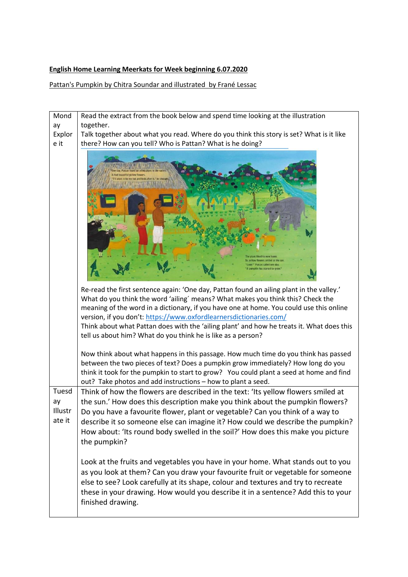## **English Home Learning Meerkats for Week beginning 6.07.2020**

Pattan's Pumpkin by Chitra Soundar and illustrated by Frané Lessac

| Mond                             | Read the extract from the book below and spend time looking at the illustration                                                                                                                                                                                                                                                                                                                                                                                                                                                                                                                                                                                                                                                                                                                                                                 |
|----------------------------------|-------------------------------------------------------------------------------------------------------------------------------------------------------------------------------------------------------------------------------------------------------------------------------------------------------------------------------------------------------------------------------------------------------------------------------------------------------------------------------------------------------------------------------------------------------------------------------------------------------------------------------------------------------------------------------------------------------------------------------------------------------------------------------------------------------------------------------------------------|
| ay                               | together.                                                                                                                                                                                                                                                                                                                                                                                                                                                                                                                                                                                                                                                                                                                                                                                                                                       |
| Explor                           | Talk together about what you read. Where do you think this story is set? What is it like                                                                                                                                                                                                                                                                                                                                                                                                                                                                                                                                                                                                                                                                                                                                                        |
| e it                             | there? How can you tell? Who is Pattan? What is he doing?                                                                                                                                                                                                                                                                                                                                                                                                                                                                                                                                                                                                                                                                                                                                                                                       |
|                                  |                                                                                                                                                                                                                                                                                                                                                                                                                                                                                                                                                                                                                                                                                                                                                                                                                                                 |
|                                  | Re-read the first sentence again: 'One day, Pattan found an ailing plant in the valley.'<br>What do you think the word 'ailing' means? What makes you think this? Check the<br>meaning of the word in a dictionary, if you have one at home. You could use this online<br>version, if you don't: https://www.oxfordlearnersdictionaries.com/<br>Think about what Pattan does with the 'ailing plant' and how he treats it. What does this<br>tell us about him? What do you think he is like as a person?<br>Now think about what happens in this passage. How much time do you think has passed<br>between the two pieces of text? Does a pumpkin grow immediately? How long do you<br>think it took for the pumpkin to start to grow? You could plant a seed at home and find<br>out? Take photos and add instructions - how to plant a seed. |
| Tuesd<br>ay<br>Illustr<br>ate it | Think of how the flowers are described in the text: 'Its yellow flowers smiled at<br>the sun.' How does this description make you think about the pumpkin flowers?<br>Do you have a favourite flower, plant or vegetable? Can you think of a way to<br>describe it so someone else can imagine it? How could we describe the pumpkin?<br>How about: 'Its round body swelled in the soil?' How does this make you picture<br>the pumpkin?                                                                                                                                                                                                                                                                                                                                                                                                        |
|                                  | Look at the fruits and vegetables you have in your home. What stands out to you<br>as you look at them? Can you draw your favourite fruit or vegetable for someone<br>else to see? Look carefully at its shape, colour and textures and try to recreate<br>these in your drawing. How would you describe it in a sentence? Add this to your<br>finished drawing.                                                                                                                                                                                                                                                                                                                                                                                                                                                                                |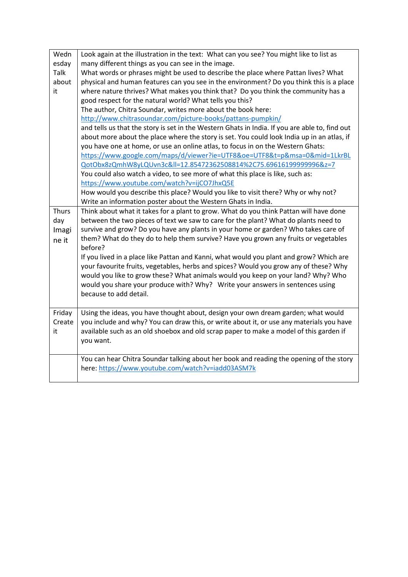| Wedn         | Look again at the illustration in the text: What can you see? You might like to list as        |
|--------------|------------------------------------------------------------------------------------------------|
| esday        | many different things as you can see in the image.                                             |
| <b>Talk</b>  | What words or phrases might be used to describe the place where Pattan lives? What             |
| about        | physical and human features can you see in the environment? Do you think this is a place       |
| it.          | where nature thrives? What makes you think that? Do you think the community has a              |
|              | good respect for the natural world? What tells you this?                                       |
|              | The author, Chitra Soundar, writes more about the book here:                                   |
|              | http://www.chitrasoundar.com/picture-books/pattans-pumpkin/                                    |
|              | and tells us that the story is set in the Western Ghats in India. If you are able to, find out |
|              | about more about the place where the story is set. You could look India up in an atlas, if     |
|              | you have one at home, or use an online atlas, to focus in on the Western Ghats:                |
|              | https://www.google.com/maps/d/viewer?ie=UTF8&oe=UTF8&t=p&msa=0∣=1LkrBL                         |
|              | QotObx8zQmhW8yLQUvn3c≪=12.85472362508814%2C75.69616199999996&z=7                               |
|              | You could also watch a video, to see more of what this place is like, such as:                 |
|              | https://www.youtube.com/watch?v=ijCO7JhxQ5E                                                    |
|              | How would you describe this place? Would you like to visit there? Why or why not?              |
|              | Write an information poster about the Western Ghats in India.                                  |
| <b>Thurs</b> | Think about what it takes for a plant to grow. What do you think Pattan will have done         |
| day          | between the two pieces of text we saw to care for the plant? What do plants need to            |
| Imagi        | survive and grow? Do you have any plants in your home or garden? Who takes care of             |
| ne it        | them? What do they do to help them survive? Have you grown any fruits or vegetables<br>before? |
|              | If you lived in a place like Pattan and Kanni, what would you plant and grow? Which are        |
|              | your favourite fruits, vegetables, herbs and spices? Would you grow any of these? Why          |
|              | would you like to grow these? What animals would you keep on your land? Why? Who               |
|              | would you share your produce with? Why? Write your answers in sentences using                  |
|              | because to add detail.                                                                         |
|              |                                                                                                |
| Friday       | Using the ideas, you have thought about, design your own dream garden; what would              |
| Create       | you include and why? You can draw this, or write about it, or use any materials you have       |
| it           | available such as an old shoebox and old scrap paper to make a model of this garden if         |
|              | you want.                                                                                      |
|              |                                                                                                |
|              | You can hear Chitra Soundar talking about her book and reading the opening of the story        |
|              | here: https://www.youtube.com/watch?v=iadd03ASM7k                                              |
|              |                                                                                                |